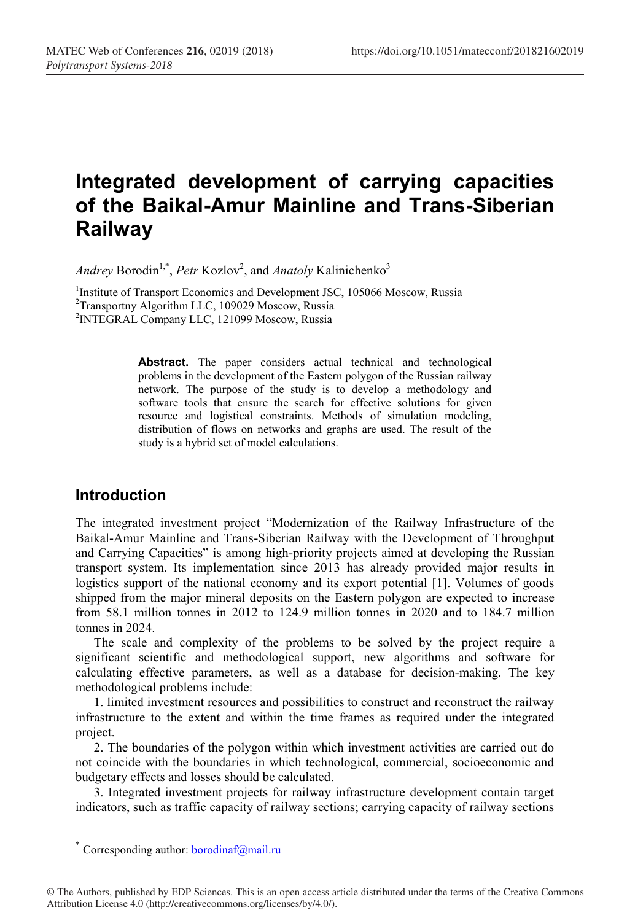# **Integrated development of carrying capacities of the Baikal-Amur Mainline and Trans-Siberian Railway**

*Andrey* Borodin<sup>1,\*</sup>, *Petr* Kozlov<sup>2</sup>, and *Anatoly* Kalinichenko<sup>3</sup>

<sup>1</sup>Institute of Transport Economics and Development JSC, 105066 Moscow, Russia<br><sup>2</sup>Transportny Algorithm LLC, 109029 Moscow, Russia <sup>2</sup>Transportny Algorithm LLC, 109029 Moscow, Russia 2 INTEGRAL Company LLC, 121099 Moscow, Russia

> Abstract. The paper considers actual technical and technological problems in the development of the Eastern polygon of the Russian railway network. The purpose of the study is to develop a methodology and software tools that ensure the search for effective solutions for given resource and logistical constraints. Methods of simulation modeling, distribution of flows on networks and graphs are used. The result of the study is a hybrid set of model calculations.

### **Introduction**

The integrated investment project "Modernization of the Railway Infrastructure of the Baikal-Amur Mainline and Trans-Siberian Railway with the Development of Throughput and Carrying Capacities" is among high-priority projects aimed at developing the Russian transport system. Its implementation since 2013 has already provided major results in logistics support of the national economy and its export potential [1]. Volumes of goods shipped from the major mineral deposits on the Eastern polygon are expected to increase from 58.1 million tonnes in 2012 to 124.9 million tonnes in 2020 and to 184.7 million tonnes in 2024.

The scale and complexity of the problems to be solved by the project require a significant scientific and methodological support, new algorithms and software for calculating effective parameters, as well as a database for decision-making. The key methodological problems include:

1. limited investment resources and possibilities to construct and reconstruct the railway infrastructure to the extent and within the time frames as required under the integrated project.

2. The boundaries of the polygon within which investment activities are carried out do not coincide with the boundaries in which technological, commercial, socioeconomic and budgetary effects and losses should be calculated.

3. Integrated investment projects for railway infrastructure development contain target indicators, such as traffic capacity of railway sections; carrying capacity of railway sections

<sup>\*</sup> Corresponding author:  $b$ orodinaf@mail.ru

<sup>©</sup> The Authors, published by EDP Sciences. This is an open access article distributed under the terms of the Creative Commons Attribution License 4.0 (http://creativecommons.org/licenses/by/4.0/).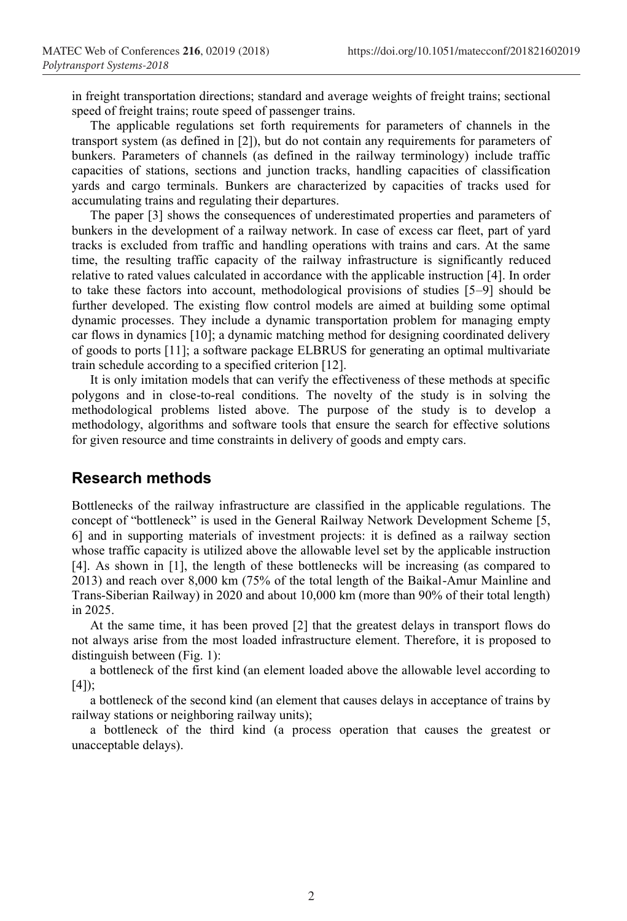in freight transportation directions; standard and average weights of freight trains; sectional speed of freight trains; route speed of passenger trains.

The applicable regulations set forth requirements for parameters of channels in the transport system (as defined in [2]), but do not contain any requirements for parameters of bunkers. Parameters of channels (as defined in the railway terminology) include traffic capacities of stations, sections and junction tracks, handling capacities of classification yards and cargo terminals. Bunkers are characterized by capacities of tracks used for accumulating trains and regulating their departures.

The paper [3] shows the consequences of underestimated properties and parameters of bunkers in the development of a railway network. In case of excess car fleet, part of yard tracks is excluded from traffic and handling operations with trains and cars. At the same time, the resulting traffic capacity of the railway infrastructure is significantly reduced relative to rated values calculated in accordance with the applicable instruction [4]. In order to take these factors into account, methodological provisions of studies [5–9] should be further developed. The existing flow control models are aimed at building some optimal dynamic processes. They include a dynamic transportation problem for managing empty car flows in dynamics [10]; a dynamic matching method for designing coordinated delivery of goods to ports [11]; a software package ELBRUS for generating an optimal multivariate train schedule according to a specified criterion [12].

It is only imitation models that can verify the effectiveness of these methods at specific polygons and in close-to-real conditions. The novelty of the study is in solving the methodological problems listed above. The purpose of the study is to develop a methodology, algorithms and software tools that ensure the search for effective solutions for given resource and time constraints in delivery of goods and empty cars.

#### **Research methods**

Bottlenecks of the railway infrastructure are classified in the applicable regulations. The concept of "bottleneck" is used in the General Railway Network Development Scheme [5, 6] and in supporting materials of investment projects: it is defined as a railway section whose traffic capacity is utilized above the allowable level set by the applicable instruction [4]. As shown in [1], the length of these bottlenecks will be increasing (as compared to 2013) and reach over 8,000 km (75% of the total length of the Baikal-Amur Mainline and Trans-Siberian Railway) in 2020 and about 10,000 km (more than 90% of their total length) in 2025.

At the same time, it has been proved [2] that the greatest delays in transport flows do not always arise from the most loaded infrastructure element. Therefore, it is proposed to distinguish between (Fig. 1):

a bottleneck of the first kind (an element loaded above the allowable level according to [4]);

a bottleneck of the second kind (an element that causes delays in acceptance of trains by railway stations or neighboring railway units);

a bottleneck of the third kind (a process operation that causes the greatest or unacceptable delays).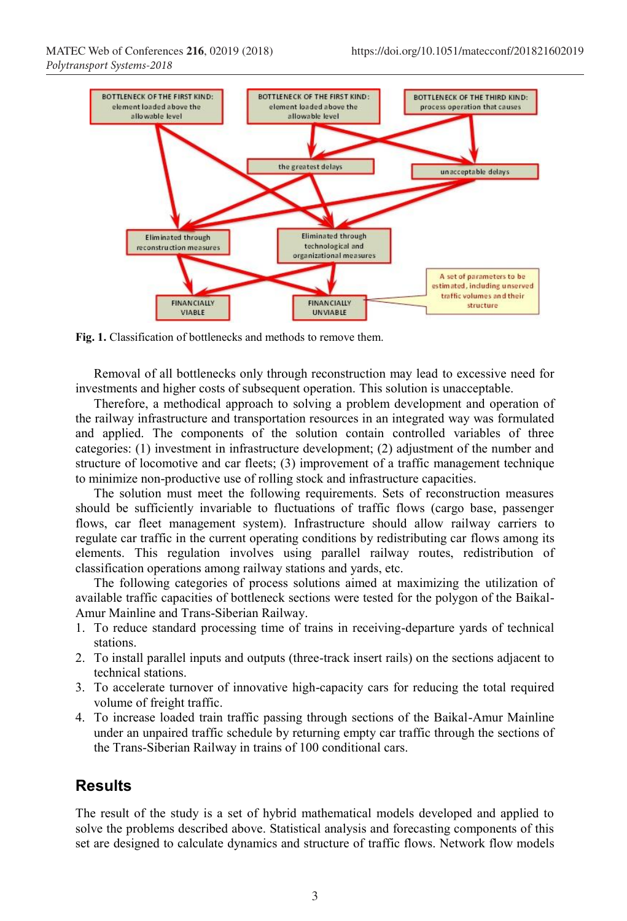

**Fig. 1.** Classification of bottlenecks and methods to remove them.

Removal of all bottlenecks only through reconstruction may lead to excessive need for investments and higher costs of subsequent operation. This solution is unacceptable.

Therefore, a methodical approach to solving a problem development and operation of the railway infrastructure and transportation resources in an integrated way was formulated and applied. The components of the solution contain controlled variables of three categories: (1) investment in infrastructure development; (2) adjustment of the number and structure of locomotive and car fleets; (3) improvement of a traffic management technique to minimize non-productive use of rolling stock and infrastructure capacities.

The solution must meet the following requirements. Sets of reconstruction measures should be sufficiently invariable to fluctuations of traffic flows (cargo base, passenger flows, car fleet management system). Infrastructure should allow railway carriers to regulate car traffic in the current operating conditions by redistributing car flows among its elements. This regulation involves using parallel railway routes, redistribution of classification operations among railway stations and yards, etc.

The following categories of process solutions aimed at maximizing the utilization of available traffic capacities of bottleneck sections were tested for the polygon of the Baikal-Amur Mainline and Trans-Siberian Railway.

- 1. To reduce standard processing time of trains in receiving-departure yards of technical stations.
- 2. To install parallel inputs and outputs (three-track insert rails) on the sections adjacent to technical stations.
- 3. To accelerate turnover of innovative high-capacity cars for reducing the total required volume of freight traffic.
- 4. To increase loaded train traffic passing through sections of the Baikal-Amur Mainline under an unpaired traffic schedule by returning empty car traffic through the sections of the Trans-Siberian Railway in trains of 100 conditional cars.

## **Results**

The result of the study is a set of hybrid mathematical models developed and applied to solve the problems described above. Statistical analysis and forecasting components of this set are designed to calculate dynamics and structure of traffic flows. Network flow models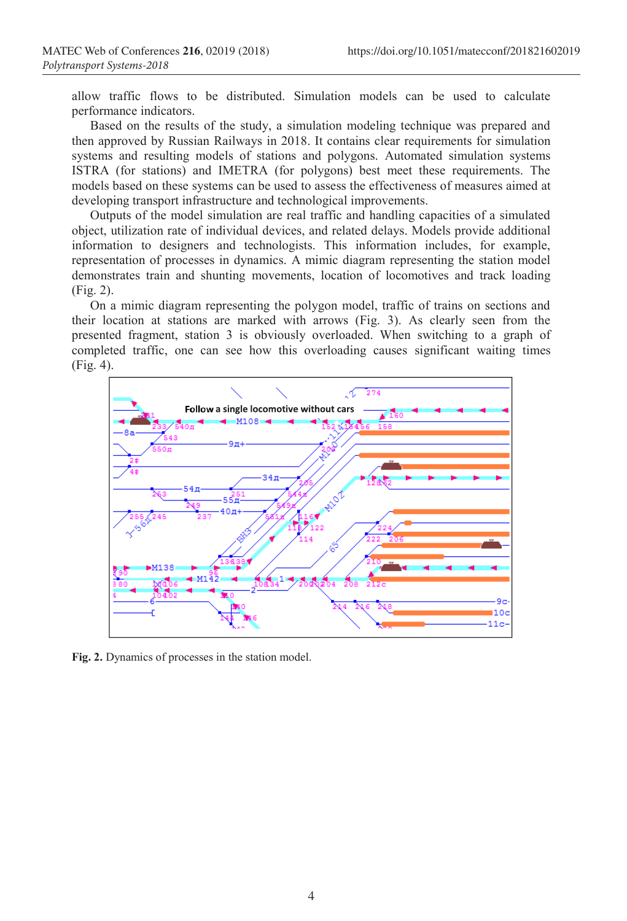allow traffic flows to be distributed. Simulation models can be used to calculate performance indicators.

Based on the results of the study, a simulation modeling technique was prepared and then approved by Russian Railways in 2018. It contains clear requirements for simulation systems and resulting models of stations and polygons. Automated simulation systems ISTRA (for stations) and IMETRA (for polygons) best meet these requirements. The models based on these systems can be used to assess the effectiveness of measures aimed at developing transport infrastructure and technological improvements.

Outputs of the model simulation are real traffic and handling capacities of a simulated object, utilization rate of individual devices, and related delays. Models provide additional information to designers and technologists. This information includes, for example, representation of processes in dynamics. A mimic diagram representing the station model demonstrates train and shunting movements, location of locomotives and track loading (Fig. 2).

On a mimic diagram representing the polygon model, traffic of trains on sections and their location at stations are marked with arrows (Fig. 3). As clearly seen from the presented fragment, station 3 is obviously overloaded. When switching to a graph of completed traffic, one can see how this overloading causes significant waiting times (Fig. 4).



**Fig. 2.** Dynamics of processes in the station model.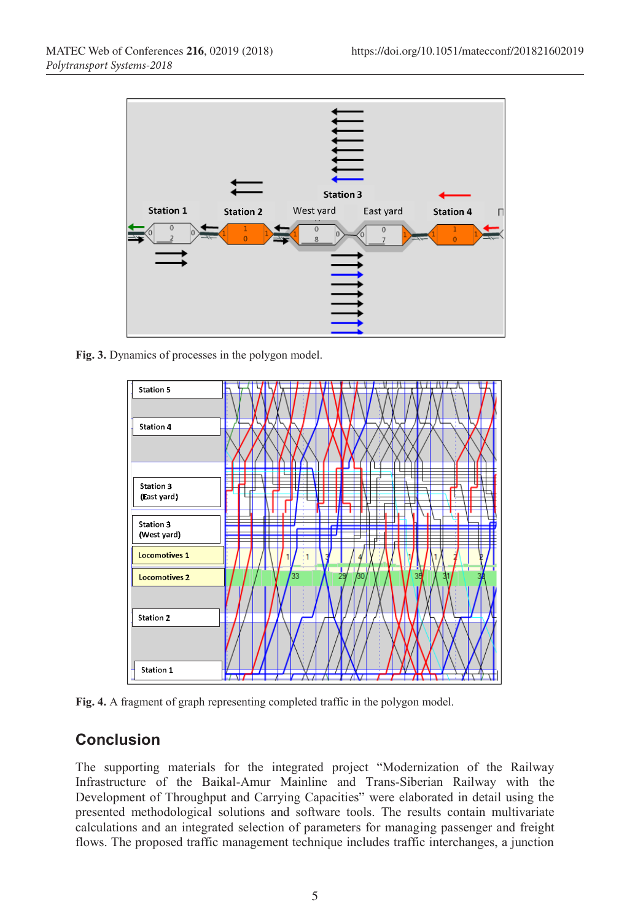

**Fig. 3.** Dynamics of processes in the polygon model.



**Fig. 4.** A fragment of graph representing completed traffic in the polygon model.

## **Conclusion**

The supporting materials for the integrated project "Modernization of the Railway Infrastructure of the Baikal-Amur Mainline and Trans-Siberian Railway with the Development of Throughput and Carrying Capacities" were elaborated in detail using the presented methodological solutions and software tools. The results contain multivariate calculations and an integrated selection of parameters for managing passenger and freight flows. The proposed traffic management technique includes traffic interchanges, a junction